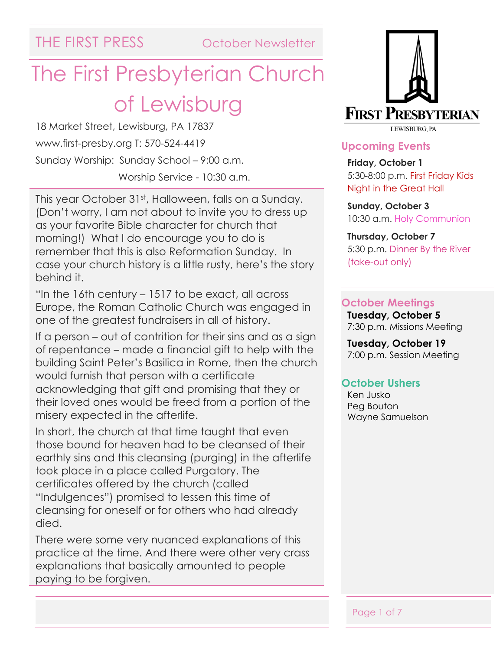THE FIRST PRESS October Newsletter

# The First Presbyterian Church of Lewisburg

18 Market Street, Lewisburg, PA 17837 www.first-presby.org T: 570-524-4419 Sunday Worship: Sunday School – 9:00 a.m. Worship Service - 10:30 a.m.

This year October 31<sup>st</sup>, Halloween, falls on a Sunday. (Don't worry, I am not about to invite you to dress up as your favorite Bible character for church that morning!) What I do encourage you to do is remember that this is also Reformation Sunday. In case your church history is a little rusty, here's the story behind it.

"In the 16th century – 1517 to be exact, all across Europe, the Roman Catholic Church was engaged in one of the greatest fundraisers in all of history.

If a person – out of contrition for their sins and as a sign of repentance – made a financial gift to help with the building Saint Peter's Basilica in Rome, then the church would furnish that person with a certificate acknowledging that gift and promising that they or their loved ones would be freed from a portion of the misery expected in the afterlife.

In short, the church at that time taught that even those bound for heaven had to be cleansed of their earthly sins and this cleansing (purging) in the afterlife took place in a place called Purgatory. The certificates offered by the church (called "Indulgences") promised to lessen this time of cleansing for oneself or for others who had already died.

There were some very nuanced explanations of this practice at the time. And there were other very crass explanations that basically amounted to people paying to be forgiven.



#### **Upcoming Events**

**Friday, October 1** 5:30-8:00 p.m. First Friday Kids Night in the Great Hall

**Sunday, October 3** 10:30 a.m. Holy Communion

#### **Thursday, October 7** 5:30 p.m. Dinner By the River (take-out only)

#### **October Meetings**

**Tuesday, October 5** 7:30 p.m. Missions Meeting

**Tuesday, October 19** 7:00 p.m. Session Meeting

#### **October Ushers**

Ken Jusko Peg Bouton Wayne Samuelson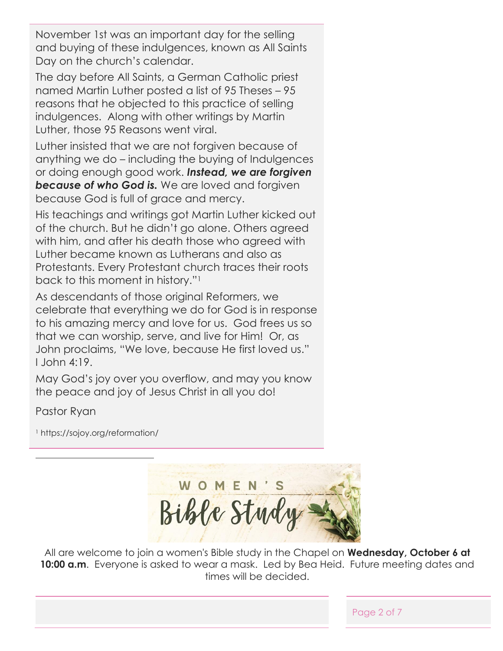November 1st was an important day for the selling and buying of these indulgences, known as All Saints Day on the church's calendar.

The day before All Saints, a German Catholic priest named Martin Luther posted a list of 95 Theses – 95 reasons that he objected to this practice of selling indulgences. Along with other writings by Martin Luther, those 95 Reasons went viral.

Luther insisted that we are not forgiven because of anything we do – including the buying of Indulgences or doing enough good work. *Instead, we are forgiven*  **because of who God is.** We are loved and forgiven because God is full of grace and mercy.

His teachings and writings got Martin Luther kicked out of the church. But he didn't go alone. Others agreed with him, and after his death those who agreed with Luther became known as Lutherans and also as Protestants. Every Protestant church traces their roots back to this moment in history."<sup>1</sup>

As descendants of those original Reformers, we celebrate that everything we do for God is in response to his amazing mercy and love for us. God frees us so that we can worship, serve, and live for Him! Or, as John proclaims, "We love, because He first loved us." I John 4:19.

May God's joy over you overflow, and may you know the peace and joy of Jesus Christ in all you do!

Pastor Ryan

<sup>1</sup> https://sojoy.org/reformation/

WOMEN'S Bible Study

All are welcome to join a women's Bible study in the Chapel on **Wednesday, October 6 at 10:00 a.m.** Everyone is asked to wear a mask. Led by Bea Heid. Future meeting dates and times will be decided.

Page 2 of 7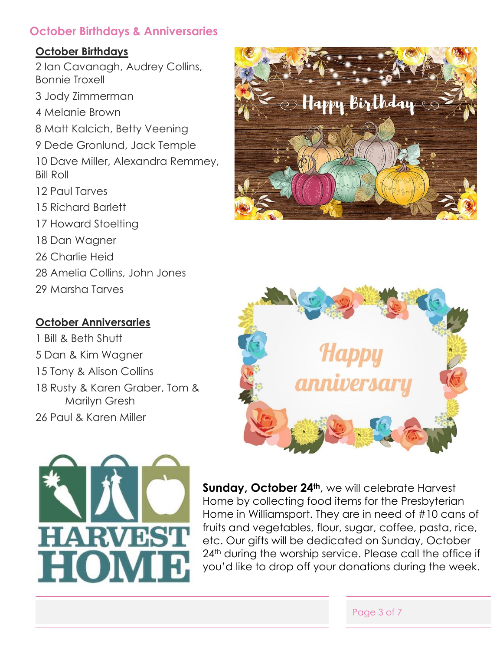### **October Birthdays & Anniversaries**

#### **October Birthdays**

2 Ian Cavanagh, Audrey Collins, Bonnie Troxell

3 Jody Zimmerman

4 Melanie Brown

- 8 Matt Kalcich, Betty Veening
- 9 Dede Gronlund, Jack Temple
- 10 Dave Miller, Alexandra Remmey, Bill Roll
- 12 Paul Tarves
- 15 Richard Barlett
- 17 Howard Stoelting
- 18 Dan Wagner
- 26 Charlie Heid
- 28 Amelia Collins, John Jones
- 29 Marsha Tarves

### **October Anniversaries**

1 Bill & Beth Shutt 5 Dan & Kim Wagner 15 Tony & Alison Collins 18 Rusty & Karen Graber, Tom & Marilyn Gresh 26 Paul & Karen Miller







**Sunday, October 24th**, we will celebrate Harvest Home by collecting food items for the Presbyterian Home in Williamsport. They are in need of #10 cans of fruits and vegetables, flour, sugar, coffee, pasta, rice, etc. Our gifts will be dedicated on Sunday, October 24<sup>th</sup> during the worship service. Please call the office if you'd like to drop off your donations during the week.

#### Page 3 of 7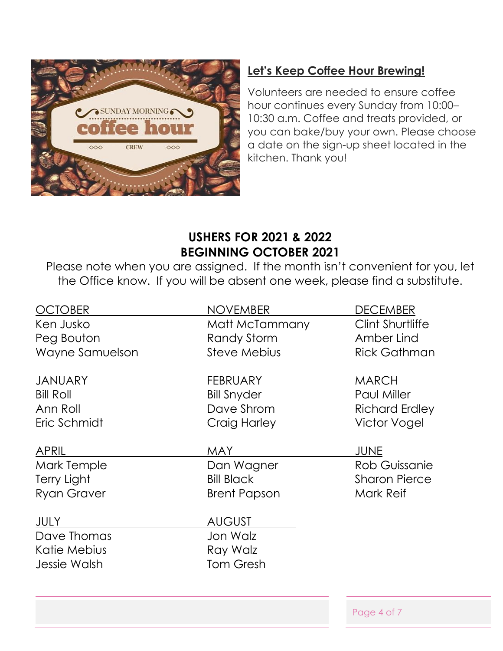

## **Let's Keep Coffee Hour Brewing!**

Volunteers are needed to ensure coffee hour continues every Sunday from 10:00– 10:30 a.m. Coffee and treats provided, or you can bake/buy your own. Please choose a date on the sign-up sheet located in the kitchen. Thank you!

## **USHERS FOR 2021 & 2022 BEGINNING OCTOBER 2021**

Please note when you are assigned. If the month isn't convenient for you, let the Office know. If you will be absent one week, please find a substitute.

| <b>OCTOBER</b>      | <b>NOVEMBER</b>     | <b>DECEMBER</b>         |
|---------------------|---------------------|-------------------------|
| Ken Jusko           | Matt McTammany      | <b>Clint Shurtliffe</b> |
| Peg Bouton          | <b>Randy Storm</b>  | Amber Lind              |
| Wayne Samuelson     | <b>Steve Mebius</b> | <b>Rick Gathman</b>     |
| <b>JANUARY</b>      | <b>FEBRUARY</b>     | <b>MARCH</b>            |
| <b>Bill Roll</b>    | <b>Bill Snyder</b>  | <b>Paul Miller</b>      |
| Ann Roll            | Dave Shrom          | <b>Richard Erdley</b>   |
| Eric Schmidt        | Craig Harley        | <b>Victor Vogel</b>     |
| <b>APRIL</b>        | <b>MAY</b>          | <b>JUNE</b>             |
| Mark Temple         | Dan Wagner          | Rob Guissanie           |
| Terry Light         | <b>Bill Black</b>   | <b>Sharon Pierce</b>    |
| <b>Ryan Graver</b>  | <b>Brent Papson</b> | Mark Reif               |
| <b>JULY</b>         | <b>AUGUST</b>       |                         |
| Dave Thomas         | Jon Walz            |                         |
| Katie Mebius        | Ray Walz            |                         |
| <b>Jessie Walsh</b> | <b>Tom Gresh</b>    |                         |
|                     |                     | Page 4 of 7             |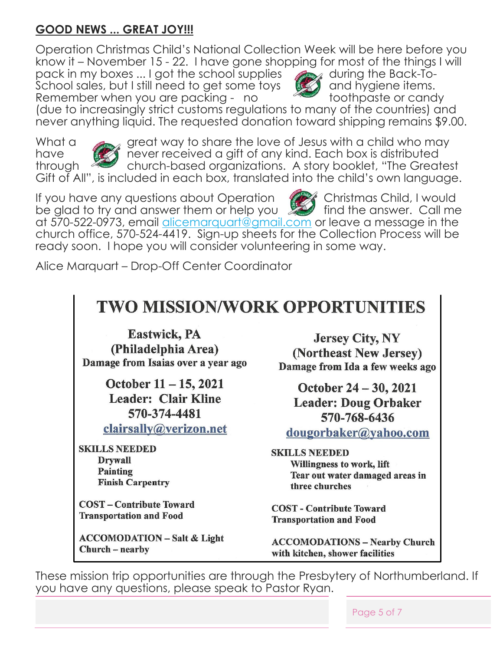## **GOOD NEWS ... GREAT JOY!!!**

Operation Christmas Child's National Collection Week will be here before you<br>know it – November 15 - 22. I have gone shopping for most of the things I will<br>pack in my boxes ... I got the school supplies<br>School sales, but I know it – November 15 - 22. I have gone shopping for most of the things I will

pack in my boxes ... I got the school supplies PUCK ITTITY DOADS ... I got the series come toys<br>School sales, but I still need to get some toys Remember when you are packing - no toothpaste or candy



(due to increasingly strict customs regulations to many of the countries) and never anything liquid. The requested donation toward shipping remains \$9.00.



What a great way to share the love of Jesus with a child who may have **never received a gift of any kind. Each box is distributed** through church-based organizations. A story booklet, "The Greatest Gift of All", is included in each box, translated into the child's own language.

If you have any questions about Operation **Communisty Christmas Child, I would** be glad to try and answer them or help you  $\mathbb{R}$  find the answer. Call me at 570-522-0973, email [alicemarquart@gmail.com](mailto:alicemarquart@gmail.com) or leave a message in the church office, 570-524-4419. Sign-up sheets for the Collection Process will be ready soon. I hope you will consider volunteering in some way.

Alice Marquart – Drop-Off Center Coordinator

## **TWO MISSION/WORK OPPORTUNITIES**

**Eastwick, PA** (Philadelphia Area) Damage from Isaias over a year ago

> October 11 - 15, 2021 **Leader: Clair Kline** 570-374-4481

clairsally@verizon.net

**SKILLS NEEDED Drywall** Painting **Finish Carpentry** 

**COST** – Contribute Toward **Transportation and Food** 

**ACCOMODATION - Salt & Light** Church – nearby

**Jersey City, NY** (Northeast New Jersey) Damage from Ida a few weeks ago

October 24 – 30, 2021 **Leader: Doug Orbaker** 570-768-6436

dougorbaker@yahoo.com

**SKILLS NEEDED** Willingness to work, lift Tear out water damaged areas in three churches

**COST** - Contribute Toward **Transportation and Food** 

**ACCOMODATIONS - Nearby Church** with kitchen, shower facilities

These mission trip opportunities are through the Presbytery of Northumberland. If you have any questions, please speak to Pastor Ryan.

Page 5 of 7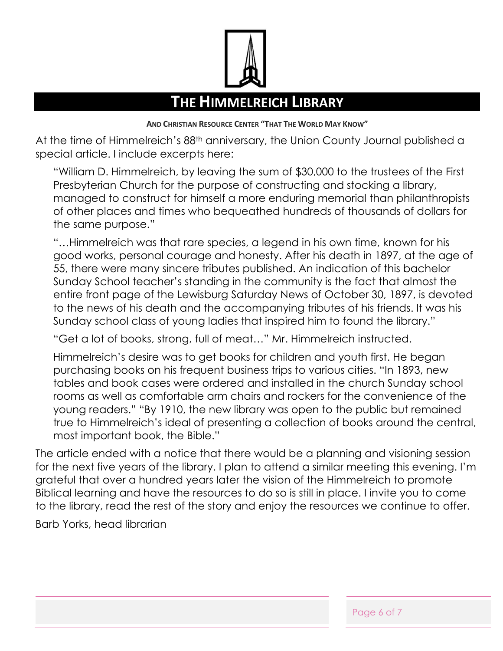

## **THE HIMMELREICH LIBRARY**

**AND CHRISTIAN RESOURCE CENTER "THAT THE WORLD MAY KNOW"**

At the time of Himmelreich's 88<sup>th</sup> anniversary, the Union County Journal published a special article. I include excerpts here:

"William D. Himmelreich, by leaving the sum of \$30,000 to the trustees of the First Presbyterian Church for the purpose of constructing and stocking a library, managed to construct for himself a more enduring memorial than philanthropists of other places and times who bequeathed hundreds of thousands of dollars for the same purpose."

"…Himmelreich was that rare species, a legend in his own time, known for his good works, personal courage and honesty. After his death in 1897, at the age of 55, there were many sincere tributes published. An indication of this bachelor Sunday School teacher's standing in the community is the fact that almost the entire front page of the Lewisburg Saturday News of October 30, 1897, is devoted to the news of his death and the accompanying tributes of his friends. It was his Sunday school class of young ladies that inspired him to found the library."

"Get a lot of books, strong, full of meat…" Mr. Himmelreich instructed.

Himmelreich's desire was to get books for children and youth first. He began purchasing books on his frequent business trips to various cities. "In 1893, new tables and book cases were ordered and installed in the church Sunday school rooms as well as comfortable arm chairs and rockers for the convenience of the young readers." "By 1910, the new library was open to the public but remained true to Himmelreich's ideal of presenting a collection of books around the central, most important book, the Bible."

The article ended with a notice that there would be a planning and visioning session for the next five years of the library. I plan to attend a similar meeting this evening. I'm grateful that over a hundred years later the vision of the Himmelreich to promote Biblical learning and have the resources to do so is still in place. I invite you to come to the library, read the rest of the story and enjoy the resources we continue to offer.

Barb Yorks, head librarian

Page 6 of 7